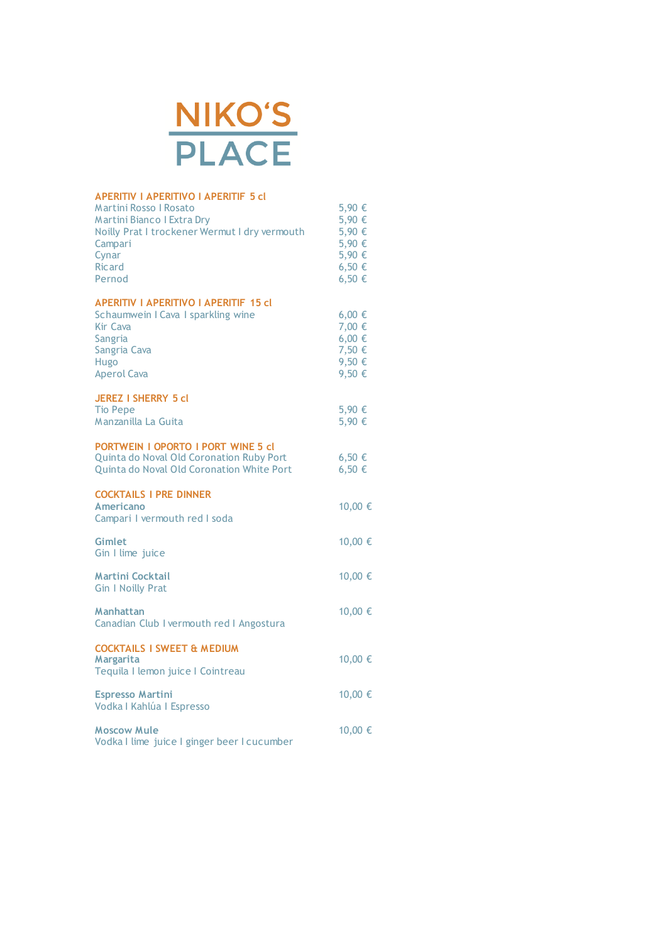

| <b>APERITIV I APERITIVO I APERITIF 5 cl</b><br>Martini Rosso I Rosato<br><b>Martini Bianco I Extra Dry</b><br>Noilly Prat I trockener Wermut I dry vermouth<br>Campari<br>Cynar<br><b>Ricard</b><br>Pernod | 5,90 €<br>5,90 €<br>5,90 €<br>5,90 €<br>5,90 €<br>6,50 €<br>6,50 € |
|------------------------------------------------------------------------------------------------------------------------------------------------------------------------------------------------------------|--------------------------------------------------------------------|
| <b>APERITIV I APERITIVO I APERITIF 15 cl</b><br>Schaumwein I Cava I sparkling wine<br><b>Kir Cava</b><br>Sangria<br>Sangria Cava<br>Hugo<br><b>Aperol Cava</b>                                             | $6,00 \in$<br>7,00 €<br>$6,00 \in$<br>7,50 €<br>9,50 €<br>9,50 €   |
| <b>JEREZ I SHERRY 5 cl</b><br><b>Tio Pepe</b><br>Manzanilla La Guita                                                                                                                                       | 5,90 €<br>5,90 €                                                   |
| <b>PORTWEIN I OPORTO I PORT WINE 5 cl</b><br>Quinta do Noval Old Coronation Ruby Port<br>Quinta do Noval Old Coronation White Port                                                                         | $6,50 \in$<br>$6,50 \in$                                           |
| <b>COCKTAILS I PRE DINNER</b><br><b>Americano</b><br>Campari I vermouth red I soda                                                                                                                         | 10,00 €                                                            |
| <b>Gimlet</b><br>Gin I lime juice                                                                                                                                                                          | 10,00 €                                                            |
| <b>Martini Cocktail</b><br><b>Gin I Noilly Prat</b>                                                                                                                                                        | 10,00 €                                                            |
| Manhattan<br>Canadian Club I vermouth red I Angostura                                                                                                                                                      | 10,00 €                                                            |
| <b>COCKTAILS I SWEET &amp; MEDIUM</b><br>Margarita<br>Tequila I lemon juice I Cointreau                                                                                                                    | 10,00 €                                                            |
| <b>Espresso Martini</b><br>Vodka   Kahlúa   Espresso                                                                                                                                                       | 10,00 €                                                            |
| <b>Moscow Mule</b><br>Vodka I lime juice I ginger beer I cucumber                                                                                                                                          | 10,00 €                                                            |
|                                                                                                                                                                                                            |                                                                    |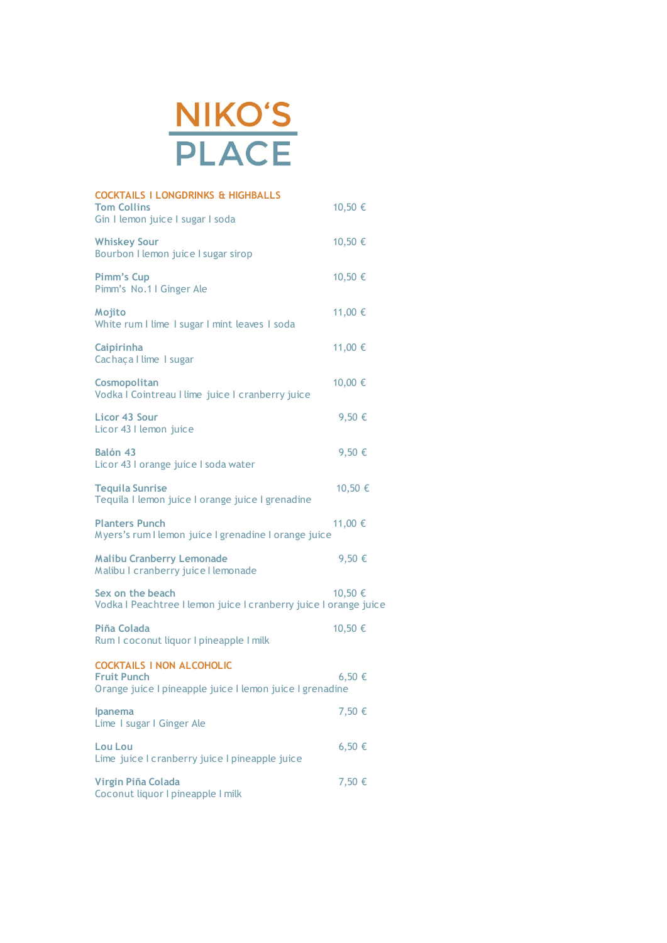

| <b>COCKTAILS I LONGDRINKS &amp; HIGHBALLS</b><br><b>Tom Collins</b><br>Gin I lemon juice I sugar I soda            | 10,50 €    |
|--------------------------------------------------------------------------------------------------------------------|------------|
| <b>Whiskey Sour</b><br>Bourbon I lemon juice I sugar sirop                                                         | 10,50 €    |
| <b>Pimm's Cup</b><br>Pimm's No.1 I Ginger Ale                                                                      | 10,50 €    |
| Mojito<br>White rum I lime I sugar I mint leaves I soda                                                            | 11,00 €    |
| Caipirinha<br>Cachaça I lime I sugar                                                                               | 11,00 €    |
| Cosmopolitan<br>Vodka I Cointreau I lime juice I cranberry juice                                                   | 10,00 €    |
| Licor 43 Sour<br>Licor 43 I lemon juice                                                                            | 9,50 €     |
| Balón 43<br>Licor 43 I orange juice I soda water                                                                   | 9,50 €     |
| <b>Tequila Sunrise</b><br>Tequila I lemon juice I orange juice I grenadine                                         | 10,50 €    |
| <b>Planters Punch</b><br>Myers's rum I lemon juice I grenadine I orange juice                                      | 11,00 €    |
| <b>Malibu Cranberry Lemonade</b><br>Malibu I cranberry juice I lemonade                                            | 9,50 €     |
| Sex on the beach<br>Vodka I Peachtree I lemon juice I cranberry juice I orange juice                               | 10,50 €    |
| Piña Colada<br>Rum I coconut liquor I pineapple I milk                                                             | 10,50 €    |
| <b>COCKTAILS I NON ALCOHOLIC</b><br><b>Fruit Punch</b><br>Orange juice I pineapple juice I lemon juice I grenadine | $6,50 \in$ |
| Ipanema<br>Lime I sugar I Ginger Ale                                                                               | 7,50 €     |
| <b>Lou Lou</b><br>Lime juice I cranberry juice I pineapple juice                                                   | 6,50 €     |
| Virgin Piña Colada<br>Coconut liquor I pineapple I milk                                                            | 7,50 €     |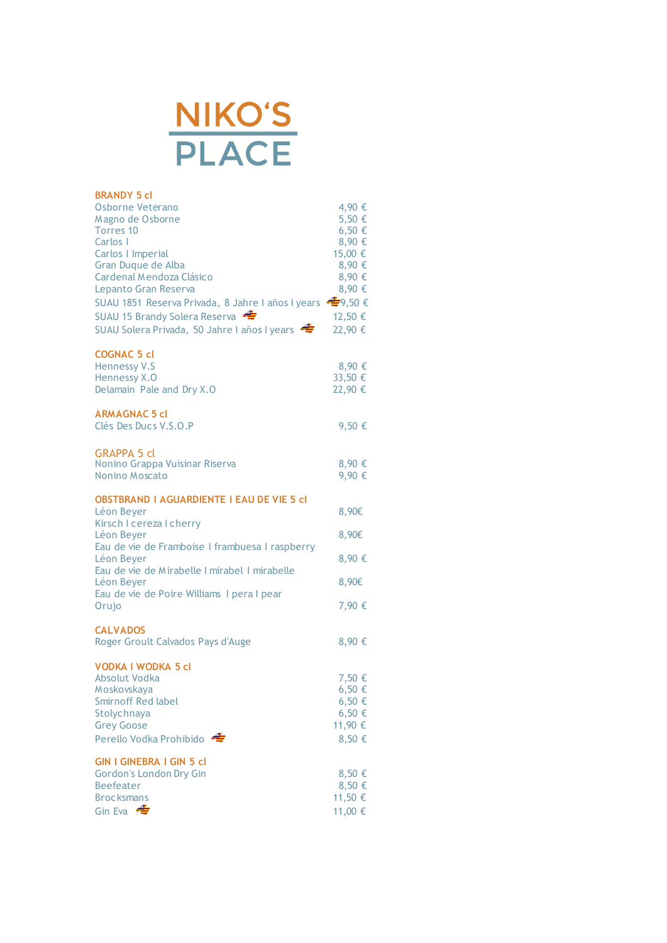

| <b>BRANDY 5 cl</b><br>Osborne Veterano<br>Magno de Osborne<br>Torres 10<br>Carlos I<br>Carlos I Imperial<br>Gran Duque de Alba<br>Cardenal Mendoza Clásico<br>Lepanto Gran Reserva<br>SUAU 1851 Reserva Privada, 8 Jahre I años I years < 9,50 €<br>SUAU 15 Brandy Solera Reserva<br>SUAU Solera Privada, 50 Jahre I años I years | 4,90 €<br>5,50 €<br>$6,50 \in$<br>8,90 €<br>15,00 €<br>8,90 €<br>8,90 €<br>8,90 €<br>12,50 €<br>22,90 € |
|-----------------------------------------------------------------------------------------------------------------------------------------------------------------------------------------------------------------------------------------------------------------------------------------------------------------------------------|---------------------------------------------------------------------------------------------------------|
| <b>COGNAC 5 cl</b><br><b>Hennessy V.S</b><br>Hennessy X.O<br>Delamain Pale and Dry X.O                                                                                                                                                                                                                                            | 8,90 €<br>33,50 €<br>22,90 €                                                                            |
| <b>ARMAGNAC 5 cl</b><br>Clés Des Ducs V.S.O.P                                                                                                                                                                                                                                                                                     | 9,50 €                                                                                                  |
| <b>GRAPPA 5 cl</b><br>Nonino Grappa Vuisinar Riserva<br>Nonino Moscato                                                                                                                                                                                                                                                            | 8,90 €<br>9,90 €                                                                                        |
| <b>OBSTBRAND I AGUARDIENTE I EAU DE VIE 5 cl</b><br>Léon Beyer                                                                                                                                                                                                                                                                    | 8,90€                                                                                                   |
| Kirsch I cereza I cherry<br>Léon Beyer                                                                                                                                                                                                                                                                                            | 8,90€                                                                                                   |
| Eau de vie de Framboise I frambuesa I raspberry<br>Léon Beyer<br>Eau de vie de Mirabelle I mirabel I mirabelle                                                                                                                                                                                                                    | 8,90 €                                                                                                  |
| Léon Beyer<br>Eau de vie de Poire Williams I pera I pear                                                                                                                                                                                                                                                                          | 8,90€                                                                                                   |
| Orujo                                                                                                                                                                                                                                                                                                                             | 7,90 €                                                                                                  |
| <b>CALVADOS</b><br>Roger Groult Calvados Pays d'Auge                                                                                                                                                                                                                                                                              | 8,90 €                                                                                                  |
| <b>VODKA I WODKA 5 cl</b><br><b>Absolut Vodka</b><br>Moskovskaya<br><b>Smirnoff Red label</b><br>Stolychnaya<br><b>Grey Goose</b><br>Perello Vodka Prohibido                                                                                                                                                                      | 7,50 €<br>6,50 €<br>6,50 €<br>$6,50 \in$<br>11,90 €<br>8,50 €                                           |
| <b>GIN I GINEBRA I GIN 5 cl</b><br><b>Gordon's London Dry Gin</b><br><b>Beefeater</b><br><b>Brocksmans</b><br>Gin Eva $\triangleleft$                                                                                                                                                                                             | 8,50 €<br>8,50 €<br>11,50 €<br>11,00 €                                                                  |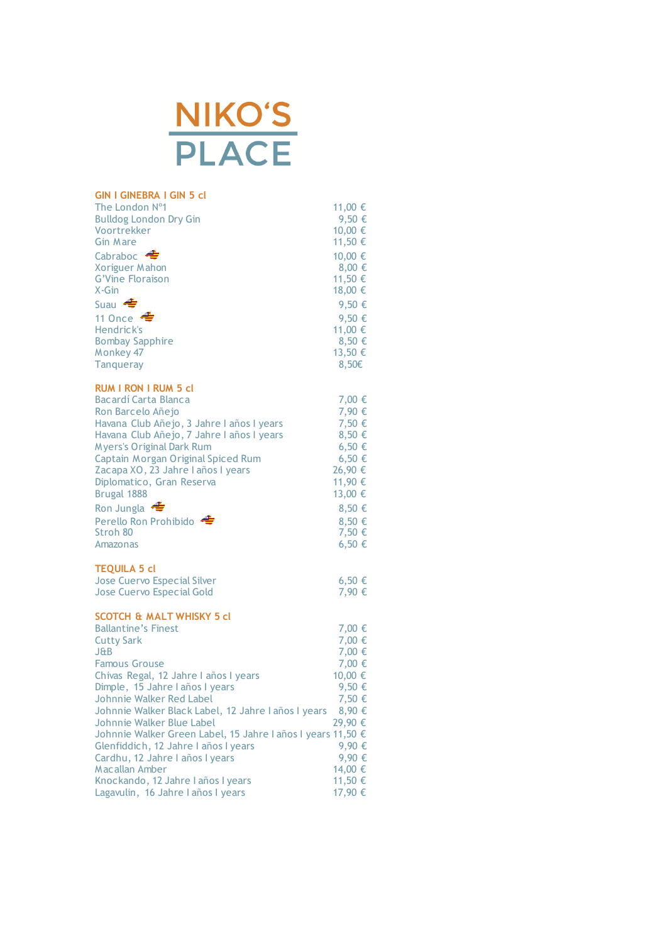

| <b>GIN I GINEBRA I GIN 5 cl</b>                             |            |
|-------------------------------------------------------------|------------|
| The London Nº1                                              | 11,00 €    |
| <b>Bulldog London Dry Gin</b>                               | 9,50 €     |
| Voortrekker                                                 | 10,00 €    |
| <b>Gin Mare</b>                                             | 11,50 €    |
| Cabraboc $\triangleq$                                       | 10,00 €    |
| <b>Xoriguer Mahon</b>                                       | 8,00 €     |
| <b>G'Vine Floraison</b>                                     | 11,50 €    |
| $X-Gin$                                                     | 18,00 €    |
| Suau $\bigoplus$                                            | 9,50 €     |
| 11 Once $\triangleq$                                        | 9,50 €     |
| Hendrick's                                                  | 11,00 €    |
| <b>Bombay Sapphire</b>                                      | 8,50 €     |
| Monkey 47                                                   | 13,50 €    |
| <b>Tanqueray</b>                                            | $8,50 \in$ |
|                                                             |            |
| <b>RUM I RON I RUM 5 cl</b>                                 |            |
| Bacardí Carta Blanca                                        | 7,00 €     |
| Ron Barcelo Añejo                                           | 7,90 €     |
| Havana Club Añejo, 3 Jahre I años I years                   | 7,50 €     |
| Havana Club Añejo, 7 Jahre I años I years                   | 8,50 €     |
| <b>Myers's Original Dark Rum</b>                            | $6,50 \in$ |
| Captain Morgan Original Spiced Rum                          | $6,50 \in$ |
| Zacapa XO, 23 Jahre I años I years                          | 26,90 €    |
| Diplomatico, Gran Reserva                                   | 11,90 €    |
| Brugal 1888                                                 | 13,00 €    |
| Ron Jungla $\triangleq$                                     | 8,50 €     |
| Perello Ron Prohibido                                       | 8,50 €     |
| Stroh 80                                                    | 7,50 €     |
| Amazonas                                                    | $6,50 \in$ |
|                                                             |            |
| <b>TEQUILA 5 cl</b>                                         |            |
| <b>Jose Cuervo Especial Silver</b>                          | $6,50 \in$ |
| <b>Jose Cuervo Especial Gold</b>                            | 7,90 €     |
|                                                             |            |
| <b>SCOTCH &amp; MALT WHISKY 5 cl</b>                        |            |
| <b>Ballantine's Finest</b>                                  | 7,00 €     |
| <b>Cutty Sark</b>                                           | 7,00 €     |
| <b>J&amp;B</b>                                              | 7,00 €     |
| <b>Famous Grouse</b>                                        | 7,00 €     |
| Chivas Regal, 12 Jahre I años I years                       | 10,00 €    |
| Dimple, 15 Jahre I años I years                             | 9,50 €     |
| Johnnie Walker Red Label                                    | 7,50 €     |
| Johnnie Walker Black Label, 12 Jahre I años I years         | 8,90 €     |
| Johnnie Walker Blue Label                                   | 29,90 €    |
| Johnnie Walker Green Label, 15 Jahre I años I years 11,50 € |            |
| Glenfiddich, 12 Jahre I años I years                        | 9,90 €     |
| Cardhu, 12 Jahre I años I years                             | 9,90 €     |
| <b>Macallan Amber</b>                                       | 14,00 €    |
| Knockando, 12 Jahre I años I years                          | 11,50 €    |
| Lagavulin, 16 Jahre I años I years                          | 17,90 €    |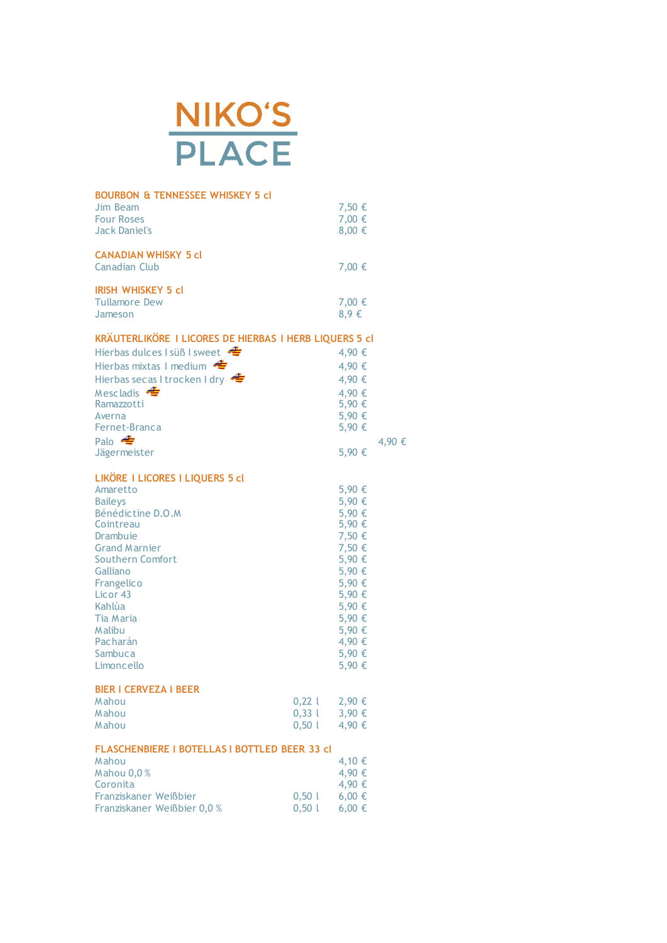

| <b>BOURBON &amp; TENNESSEE WHISKEY 5 cl</b><br>Jim Beam |       | 7,50 €           |        |
|---------------------------------------------------------|-------|------------------|--------|
| <b>Four Roses</b>                                       |       | 7,00 €           |        |
| <b>Jack Daniel's</b>                                    |       | 8,00 €           |        |
|                                                         |       |                  |        |
| <b>CANADIAN WHISKY 5 cl</b>                             |       |                  |        |
| <b>Canadian Club</b>                                    |       | 7,00 €           |        |
| <b>IRISH WHISKEY 5 cl</b>                               |       |                  |        |
| <b>Tullamore Dew</b>                                    |       | 7,00 €           |        |
| Jameson                                                 |       | $8,9 \in$        |        |
| KRÄUTERLIKÖRE I LICORES DE HIERBAS I HERB LIQUERS 5 cl  |       |                  |        |
| Hierbas dulces I süß I sweet                            |       | 4,90 €           |        |
| Hierbas mixtas I medium                                 |       | 4,90 €           |        |
| Hierbas secas I trocken I dry                           |       | 4,90 €           |        |
| Mescladis $\triangleleft$                               |       |                  |        |
| Ramazzotti                                              |       | 4,90 €<br>5,90 € |        |
| Averna                                                  |       | 5,90 €           |        |
| Fernet-Branca                                           |       | 5,90 €           |        |
| Palo $\triangleleft$                                    |       |                  | 4,90 € |
| Jägermeister                                            |       | 5,90 €           |        |
|                                                         |       |                  |        |
| LIKÖRE I LICORES I LIQUERS 5 cl                         |       |                  |        |
| Amaretto                                                |       | 5,90 €           |        |
| <b>Bailevs</b>                                          |       | 5,90 €           |        |
| Bénédictine D.O.M                                       |       | 5,90 €           |        |
| Cointreau                                               |       | 5,90 €           |        |
| Drambuje<br><b>Grand Marnier</b>                        |       | 7,50 €           |        |
| Southern Comfort                                        |       | 7,50 €<br>5,90 € |        |
| Galliano                                                |       | 5,90 €           |        |
| Frangelico                                              |       | 5,90 €           |        |
| Licor <sub>43</sub>                                     |       | 5,90 €           |        |
| Kahlúa                                                  |       | 5,90 €           |        |
| Tia Maria                                               |       | 5,90 €           |        |
| Malibu                                                  |       | 5,90 €           |        |
| Pacharán                                                |       | 4,90 €           |        |
| Sambuca                                                 |       | 5,90 €           |        |
| Limoncello                                              |       | 5,90 €           |        |
| <b>BIER I CERVEZA I BEER</b>                            |       |                  |        |
| Mahou                                                   | 0,221 | 2,90 €           |        |
| Mahou                                                   | 0,331 | 3,90 €           |        |
| Mahou                                                   | 0,501 | 4,90 €           |        |
| <b>FLASCHENBIERE I BOTELLAS I BOTTLED BEER 33 cl</b>    |       |                  |        |
| Mahou                                                   |       | 4,10 €           |        |
| Mahou 0,0%                                              |       | 4,90 €           |        |
| Coronita                                                |       | 4,90 €           |        |
| Franziskaner Weißbier                                   | 0,501 | $6,00 \in$       |        |
| Franziskaner Weißbier 0,0 %                             | 0,501 | 6,00 €           |        |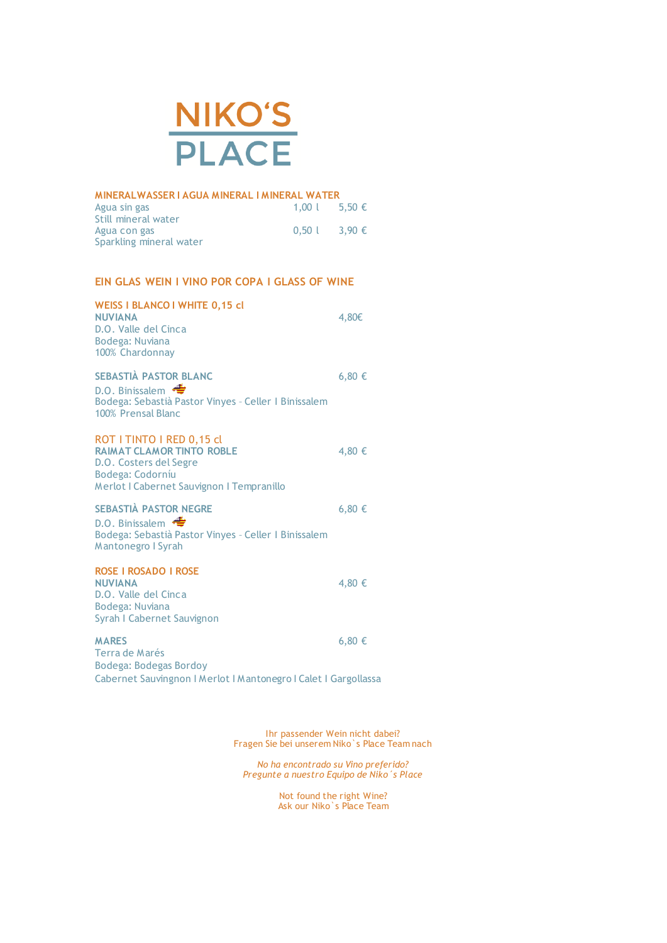

| MINERALWASSER I AGUA MINERAL I MINERAL WATER |                 |  |
|----------------------------------------------|-----------------|--|
| Agua sin gas                                 | 1,00 l 5,50 €   |  |
| Still mineral water                          |                 |  |
| Agua con gas                                 | $0.50$ l 3.90 € |  |
| Sparkling mineral water                      |                 |  |

## **EIN GLAS WEIN I VINO POR COPA I GLASS OF WINE**

| <b>WEISS I BLANCO I WHITE 0,15 cl</b><br><b>NUVIANA</b><br>D.O. Valle del Cinca<br>Bodega: Nuviana<br>100% Chardonnay                                    | 4,80€      |
|----------------------------------------------------------------------------------------------------------------------------------------------------------|------------|
| <b>SEBASTIÀ PASTOR BLANC</b><br>D.O. Binissalem<br>Bodega: Sebastià Pastor Vinyes - Celler I Binissalem<br>100% Prensal Blanc                            | $6,80 \in$ |
| ROT I TINTO I RED 0,15 cl<br><b>RAIMAT CLAMOR TINTO ROBLE</b><br>D.O. Costers del Segre<br>Bodega: Codorníu<br>Merlot I Cabernet Sauvignon I Tempranillo | 4,80 €     |
| <b>SEBASTIA PASTOR NEGRE</b><br>D.O. Binissalem<br>Bodega: Sebastià Pastor Vinyes - Celler I Binissalem<br>Mantonegro I Syrah                            | 6,80 €     |
| <b>ROSE I ROSADO I ROSE</b><br><b>NUVIANA</b><br>D.O. Valle del Cinca<br>Bodega: Nuviana<br>Syrah I Cabernet Sauvignon                                   | 4,80 €     |
| <b>MARES</b><br>Terra de Marés<br>Bodega: Bodegas Bordoy<br>Cabernet Sauvingnon   Merlot   Mantonegro   Calet   Gargollassa                              | $6,80 \in$ |

Ihr passender Wein nicht dabei? Fragen Sie bei unserem Niko`s Place Team nach

*No ha encontrado su Vino preferido? Pregunte a nuestro Equipo de Niko´s Place*

> Not found the right Wine? Ask our Niko`s Place Team